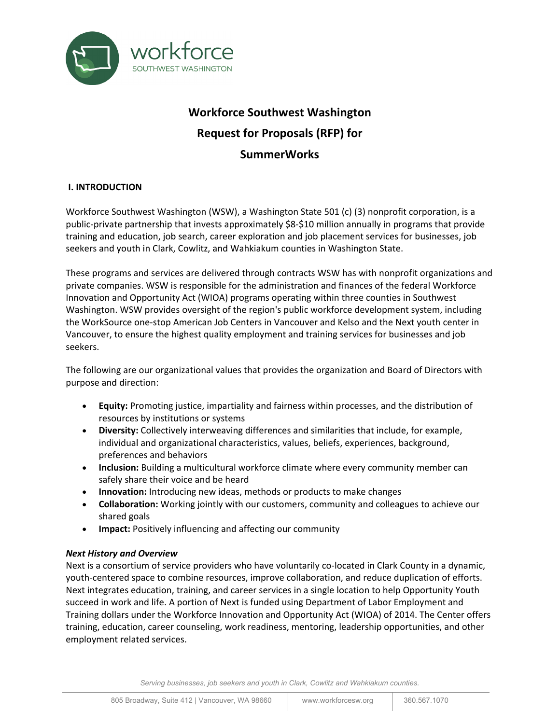

# **Workforce Southwest Washington Request for Proposals (RFP) for SummerWorks**

# **I. INTRODUCTION**

Workforce Southwest Washington (WSW), a Washington State 501 (c) (3) nonprofit corporation, is a public-private partnership that invests approximately \$8-\$10 million annually in programs that provide training and education, job search, career exploration and job placement services for businesses, job seekers and youth in Clark, Cowlitz, and Wahkiakum counties in Washington State.

These programs and services are delivered through contracts WSW has with nonprofit organizations and private companies. WSW is responsible for the administration and finances of the federal Workforce Innovation and Opportunity Act (WIOA) programs operating within three counties in Southwest Washington. WSW provides oversight of the region's public workforce development system, including the WorkSource one-stop American Job Centers in Vancouver and Kelso and the Next youth center in Vancouver, to ensure the highest quality employment and training services for businesses and job seekers.

The following are our organizational values that provides the organization and Board of Directors with purpose and direction:

- **Equity:** Promoting justice, impartiality and fairness within processes, and the distribution of resources by institutions or systems
- **Diversity:** Collectively interweaving differences and similarities that include, for example, individual and organizational characteristics, values, beliefs, experiences, background, preferences and behaviors
- **Inclusion:** Building a multicultural workforce climate where every community member can safely share their voice and be heard
- **Innovation:** Introducing new ideas, methods or products to make changes
- **Collaboration:** Working jointly with our customers, community and colleagues to achieve our shared goals
- **Impact:** Positively influencing and affecting our community

# *Next History and Overview*

Next is a consortium of service providers who have voluntarily co-located in Clark County in a dynamic, youth-centered space to combine resources, improve collaboration, and reduce duplication of efforts. Next integrates education, training, and career services in a single location to help Opportunity Youth succeed in work and life. A portion of Next is funded using Department of Labor Employment and Training dollars under the Workforce Innovation and Opportunity Act (WIOA) of 2014. The Center offers training, education, career counseling, work readiness, mentoring, leadership opportunities, and other employment related services.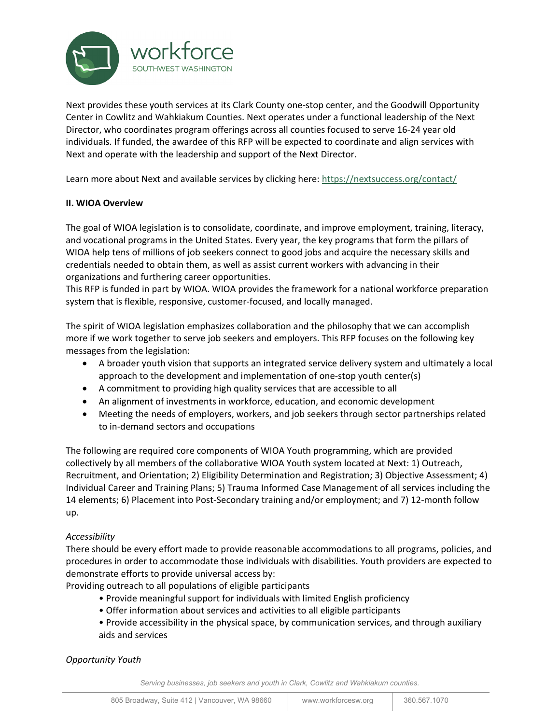

Next provides these youth services at its Clark County one-stop center, and the Goodwill Opportunity Center in Cowlitz and Wahkiakum Counties. Next operates under a functional leadership of the Next Director, who coordinates program offerings across all counties focused to serve 16-24 year old individuals. If funded, the awardee of this RFP will be expected to coordinate and align services with Next and operate with the leadership and support of the Next Director.

Learn more about Next and available services by clicking here:<https://nextsuccess.org/contact/>

# **II. WIOA Overview**

The goal of WIOA legislation is to consolidate, coordinate, and improve employment, training, literacy, and vocational programs in the United States. Every year, the key programs that form the pillars of WIOA help tens of millions of job seekers connect to good jobs and acquire the necessary skills and credentials needed to obtain them, as well as assist current workers with advancing in their organizations and furthering career opportunities.

This RFP is funded in part by WIOA. WIOA provides the framework for a national workforce preparation system that is flexible, responsive, customer-focused, and locally managed.

The spirit of WIOA legislation emphasizes collaboration and the philosophy that we can accomplish more if we work together to serve job seekers and employers. This RFP focuses on the following key messages from the legislation:

- A broader youth vision that supports an integrated service delivery system and ultimately a local approach to the development and implementation of one-stop youth center(s)
- A commitment to providing high quality services that are accessible to all
- An alignment of investments in workforce, education, and economic development
- Meeting the needs of employers, workers, and job seekers through sector partnerships related to in-demand sectors and occupations

The following are required core components of WIOA Youth programming, which are provided collectively by all members of the collaborative WIOA Youth system located at Next: 1) Outreach, Recruitment, and Orientation; 2) Eligibility Determination and Registration; 3) Objective Assessment; 4) Individual Career and Training Plans; 5) Trauma Informed Case Management of all services including the 14 elements; 6) Placement into Post-Secondary training and/or employment; and 7) 12-month follow up.

# *Accessibility*

There should be every effort made to provide reasonable accommodations to all programs, policies, and procedures in order to accommodate those individuals with disabilities. Youth providers are expected to demonstrate efforts to provide universal access by:

Providing outreach to all populations of eligible participants

- Provide meaningful support for individuals with limited English proficiency
- Offer information about services and activities to all eligible participants
- Provide accessibility in the physical space, by communication services, and through auxiliary aids and services

*Opportunity Youth*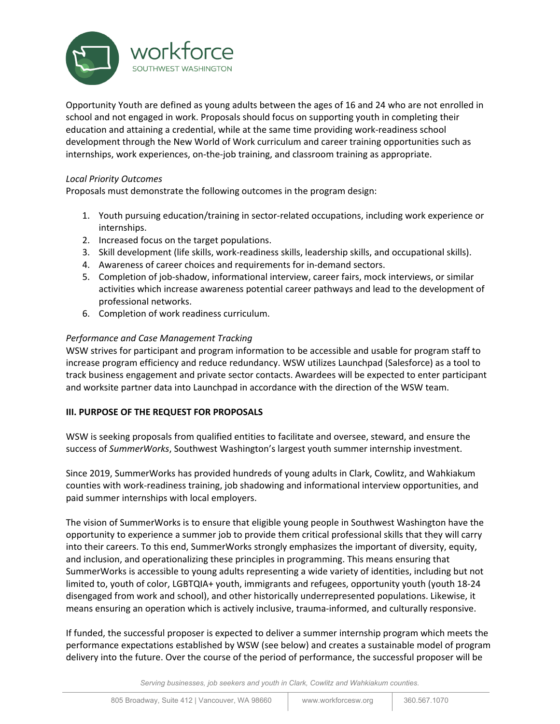

Opportunity Youth are defined as young adults between the ages of 16 and 24 who are not enrolled in school and not engaged in work. Proposals should focus on supporting youth in completing their education and attaining a credential, while at the same time providing work-readiness school development through the New World of Work curriculum and career training opportunities such as internships, work experiences, on-the-job training, and classroom training as appropriate.

# *Local Priority Outcomes*

Proposals must demonstrate the following outcomes in the program design:

- 1. Youth pursuing education/training in sector-related occupations, including work experience or internships.
- 2. Increased focus on the target populations.
- 3. Skill development (life skills, work-readiness skills, leadership skills, and occupational skills).
- 4. Awareness of career choices and requirements for in-demand sectors.
- 5. Completion of job-shadow, informational interview, career fairs, mock interviews, or similar activities which increase awareness potential career pathways and lead to the development of professional networks.
- 6. Completion of work readiness curriculum.

# *Performance and Case Management Tracking*

WSW strives for participant and program information to be accessible and usable for program staff to increase program efficiency and reduce redundancy. WSW utilizes Launchpad (Salesforce) as a tool to track business engagement and private sector contacts. Awardees will be expected to enter participant and worksite partner data into Launchpad in accordance with the direction of the WSW team.

# **III. PURPOSE OF THE REQUEST FOR PROPOSALS**

WSW is seeking proposals from qualified entities to facilitate and oversee, steward, and ensure the success of *SummerWorks*, Southwest Washington's largest youth summer internship investment.

Since 2019, SummerWorks has provided hundreds of young adults in Clark, Cowlitz, and Wahkiakum counties with work-readiness training, job shadowing and informational interview opportunities, and paid summer internships with local employers.

The vision of SummerWorks is to ensure that eligible young people in Southwest Washington have the opportunity to experience a summer job to provide them critical professional skills that they will carry into their careers. To this end, SummerWorks strongly emphasizes the important of diversity, equity, and inclusion, and operationalizing these principles in programming. This means ensuring that SummerWorks is accessible to young adults representing a wide variety of identities, including but not limited to, youth of color, LGBTQIA+ youth, immigrants and refugees, opportunity youth (youth 18-24 disengaged from work and school), and other historically underrepresented populations. Likewise, it means ensuring an operation which is actively inclusive, trauma-informed, and culturally responsive.

If funded, the successful proposer is expected to deliver a summer internship program which meets the performance expectations established by WSW (see below) and creates a sustainable model of program delivery into the future. Over the course of the period of performance, the successful proposer will be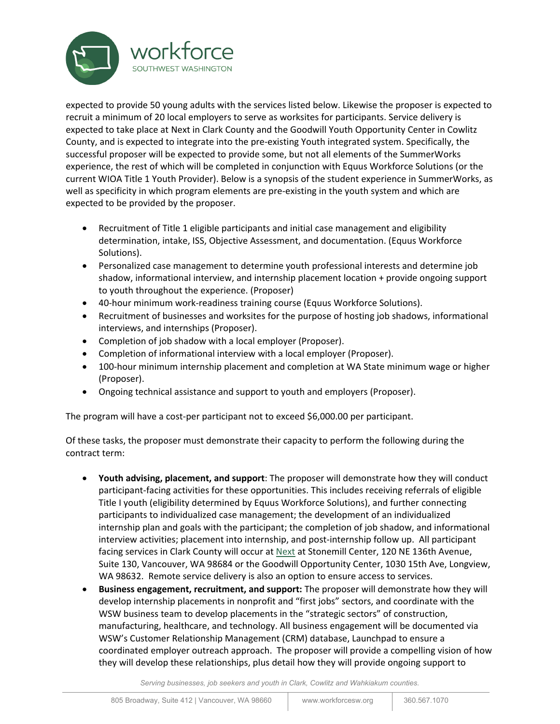

expected to provide 50 young adults with the services listed below. Likewise the proposer is expected to recruit a minimum of 20 local employers to serve as worksites for participants. Service delivery is expected to take place at Next in Clark County and the Goodwill Youth Opportunity Center in Cowlitz County, and is expected to integrate into the pre-existing Youth integrated system. Specifically, the successful proposer will be expected to provide some, but not all elements of the SummerWorks experience, the rest of which will be completed in conjunction with Equus Workforce Solutions (or the current WIOA Title 1 Youth Provider). Below is a synopsis of the student experience in SummerWorks, as well as specificity in which program elements are pre-existing in the youth system and which are expected to be provided by the proposer.

- Recruitment of Title 1 eligible participants and initial case management and eligibility determination, intake, ISS, Objective Assessment, and documentation. (Equus Workforce Solutions).
- Personalized case management to determine youth professional interests and determine job shadow, informational interview, and internship placement location + provide ongoing support to youth throughout the experience. (Proposer)
- 40-hour minimum work-readiness training course (Equus Workforce Solutions).
- Recruitment of businesses and worksites for the purpose of hosting job shadows, informational interviews, and internships (Proposer).
- Completion of job shadow with a local employer (Proposer).
- Completion of informational interview with a local employer (Proposer).
- 100-hour minimum internship placement and completion at WA State minimum wage or higher (Proposer).
- Ongoing technical assistance and support to youth and employers (Proposer).

The program will have a cost-per participant not to exceed \$6,000.00 per participant.

Of these tasks, the proposer must demonstrate their capacity to perform the following during the contract term:

- **Youth advising, placement, and support**: The proposer will demonstrate how they will conduct participant-facing activities for these opportunities. This includes receiving referrals of eligible Title I youth (eligibility determined by Equus Workforce Solutions), and further connecting participants to individualized case management; the development of an individualized internship plan and goals with the participant; the completion of job shadow, and informational interview activities; placement into internship, and post-internship follow up. All participant facing services in Clark County will occur at [Next](https://nextsuccess.org/) at Stonemill Center, 120 NE 136th Avenue, Suite 130, Vancouver, WA 98684 or the Goodwill Opportunity Center, 1030 15th Ave, Longview, WA 98632. Remote service delivery is also an option to ensure access to services.
- **Business engagement, recruitment, and support:** The proposer will demonstrate how they will develop internship placements in nonprofit and "first jobs" sectors, and coordinate with the WSW business team to develop placements in the "strategic sectors" of construction, manufacturing, healthcare, and technology. All business engagement will be documented via WSW's Customer Relationship Management (CRM) database, Launchpad to ensure a coordinated employer outreach approach. The proposer will provide a compelling vision of how they will develop these relationships, plus detail how they will provide ongoing support to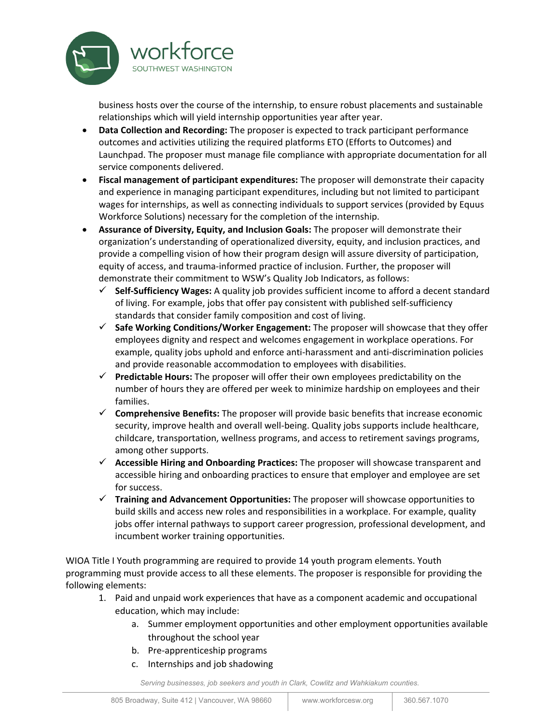

business hosts over the course of the internship, to ensure robust placements and sustainable relationships which will yield internship opportunities year after year.

- **Data Collection and Recording:** The proposer is expected to track participant performance outcomes and activities utilizing the required platforms ETO (Efforts to Outcomes) and Launchpad. The proposer must manage file compliance with appropriate documentation for all service components delivered.
- **Fiscal management of participant expenditures:** The proposer will demonstrate their capacity and experience in managing participant expenditures, including but not limited to participant wages for internships, as well as connecting individuals to support services (provided by Equus Workforce Solutions) necessary for the completion of the internship.
- **Assurance of Diversity, Equity, and Inclusion Goals:** The proposer will demonstrate their organization's understanding of operationalized diversity, equity, and inclusion practices, and provide a compelling vision of how their program design will assure diversity of participation, equity of access, and trauma-informed practice of inclusion. Further, the proposer will demonstrate their commitment to WSW's Quality Job Indicators, as follows:
	- **Self-Sufficiency Wages:** A quality job provides sufficient income to afford a decent standard of living. For example, jobs that offer pay consistent with published self-sufficiency standards that consider family composition and cost of living.
	- **Safe Working Conditions/Worker Engagement:** The proposer will showcase that they offer employees dignity and respect and welcomes engagement in workplace operations. For example, quality jobs uphold and enforce anti-harassment and anti-discrimination policies and provide reasonable accommodation to employees with disabilities.
	- **Predictable Hours:** The proposer will offer their own employees predictability on the number of hours they are offered per week to minimize hardship on employees and their families.
	- **Comprehensive Benefits:** The proposer will provide basic benefits that increase economic security, improve health and overall well-being. Quality jobs supports include healthcare, childcare, transportation, wellness programs, and access to retirement savings programs, among other supports.
	- **Accessible Hiring and Onboarding Practices:** The proposer will showcase transparent and accessible hiring and onboarding practices to ensure that employer and employee are set for success.
	- **Training and Advancement Opportunities:** The proposer will showcase opportunities to build skills and access new roles and responsibilities in a workplace. For example, quality jobs offer internal pathways to support career progression, professional development, and incumbent worker training opportunities.

WIOA Title I Youth programming are required to provide 14 youth program elements. Youth programming must provide access to all these elements. The proposer is responsible for providing the following elements:

- 1. Paid and unpaid work experiences that have as a component academic and occupational education, which may include:
	- a. Summer employment opportunities and other employment opportunities available throughout the school year
	- b. Pre-apprenticeship programs
	- c. Internships and job shadowing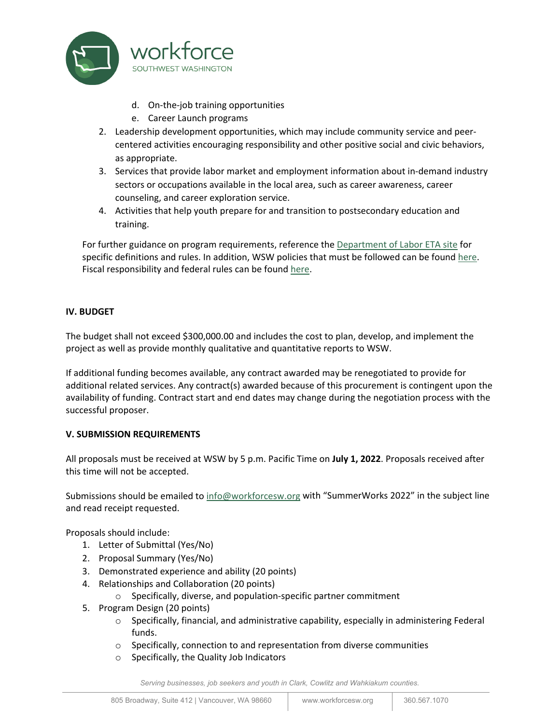

- d. On-the-job training opportunities
- e. Career Launch programs
- 2. Leadership development opportunities, which may include community service and peercentered activities encouraging responsibility and other positive social and civic behaviors, as appropriate.
- 3. Services that provide labor market and employment information about in-demand industry sectors or occupations available in the local area, such as career awareness, career counseling, and career exploration service.
- 4. Activities that help youth prepare for and transition to postsecondary education and training.

For further guidance on program requirements, reference th[e Department of Labor ETA](https://www.govinfo.gov/content/pkg/FR-2016-08-19/pdf/2016-15977.pdf) [site](https://www.dol.gov/agencies/eta/youth/wioa-formula) for specific definitions and rules. In addition, WSW policies that must be followed can be found [here.](https://workforcesw.org/results-and-data/policies) Fiscal responsibility and federal rules can be found [here.](https://www.ecfr.gov/current/title-2/subtitle-A/chapter-II/part-200?toc=1)

# **IV. BUDGET**

The budget shall not exceed \$300,000.00 and includes the cost to plan, develop, and implement the project as well as provide monthly qualitative and quantitative reports to WSW.

If additional funding becomes available, any contract awarded may be renegotiated to provide for additional related services. Any contract(s) awarded because of this procurement is contingent upon the availability of funding. Contract start and end dates may change during the negotiation process with the successful proposer.

# **V. SUBMISSION REQUIREMENTS**

All proposals must be received at WSW by 5 p.m. Pacific Time on **July 1, 2022**. Proposals received after this time will not be accepted.

Submissions should be emailed to [info@workforcesw.org w](mailto:mhalliday@workforcesw.org)ith "SummerWorks 2022" in the subject line and read receipt requested.

Proposals should include:

- 1. Letter of Submittal (Yes/No)
- 2. Proposal Summary (Yes/No)
- 3. Demonstrated experience and ability (20 points)
- 4. Relationships and Collaboration (20 points)
	- o Specifically, diverse, and population-specific partner commitment
- 5. Program Design (20 points)
	- $\circ$  Specifically, financial, and administrative capability, especially in administering Federal funds.
	- o Specifically, connection to and representation from diverse communities
	- o Specifically, the Quality Job Indicators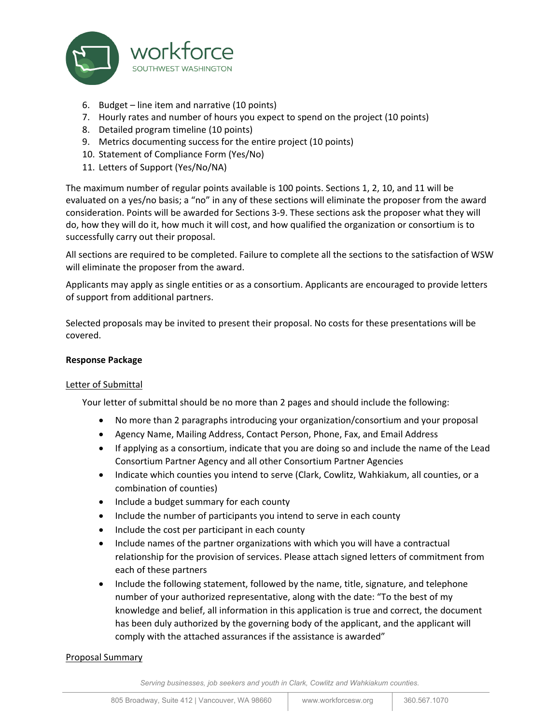

- 6. Budget line item and narrative (10 points)
- 7. Hourly rates and number of hours you expect to spend on the project (10 points)
- 8. Detailed program timeline (10 points)
- 9. Metrics documenting success for the entire project (10 points)
- 10. Statement of Compliance Form (Yes/No)
- 11. Letters of Support (Yes/No/NA)

The maximum number of regular points available is 100 points. Sections 1, 2, 10, and 11 will be evaluated on a yes/no basis; a "no" in any of these sections will eliminate the proposer from the award consideration. Points will be awarded for Sections 3-9. These sections ask the proposer what they will do, how they will do it, how much it will cost, and how qualified the organization or consortium is to successfully carry out their proposal.

All sections are required to be completed. Failure to complete all the sections to the satisfaction of WSW will eliminate the proposer from the award.

Applicants may apply as single entities or as a consortium. Applicants are encouraged to provide letters of support from additional partners.

Selected proposals may be invited to present their proposal. No costs for these presentations will be covered.

# **Response Package**

# Letter of Submittal

Your letter of submittal should be no more than 2 pages and should include the following:

- No more than 2 paragraphs introducing your organization/consortium and your proposal
- Agency Name, Mailing Address, Contact Person, Phone, Fax, and Email Address
- If applying as a consortium, indicate that you are doing so and include the name of the Lead Consortium Partner Agency and all other Consortium Partner Agencies
- Indicate which counties you intend to serve (Clark, Cowlitz, Wahkiakum, all counties, or a combination of counties)
- Include a budget summary for each county
- Include the number of participants you intend to serve in each county
- Include the cost per participant in each county
- Include names of the partner organizations with which you will have a contractual relationship for the provision of services. Please attach signed letters of commitment from each of these partners
- Include the following statement, followed by the name, title, signature, and telephone number of your authorized representative, along with the date: "To the best of my knowledge and belief, all information in this application is true and correct, the document has been duly authorized by the governing body of the applicant, and the applicant will comply with the attached assurances if the assistance is awarded"

# Proposal Summary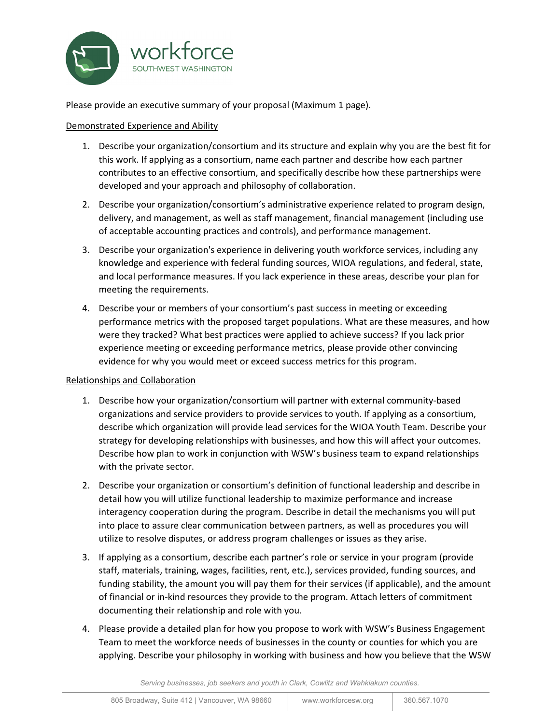

Please provide an executive summary of your proposal (Maximum 1 page).

# Demonstrated Experience and Ability

- 1. Describe your organization/consortium and its structure and explain why you are the best fit for this work. If applying as a consortium, name each partner and describe how each partner contributes to an effective consortium, and specifically describe how these partnerships were developed and your approach and philosophy of collaboration.
- 2. Describe your organization/consortium's administrative experience related to program design, delivery, and management, as well as staff management, financial management (including use of acceptable accounting practices and controls), and performance management.
- 3. Describe your organization's experience in delivering youth workforce services, including any knowledge and experience with federal funding sources, WIOA regulations, and federal, state, and local performance measures. If you lack experience in these areas, describe your plan for meeting the requirements.
- 4. Describe your or members of your consortium's past success in meeting or exceeding performance metrics with the proposed target populations. What are these measures, and how were they tracked? What best practices were applied to achieve success? If you lack prior experience meeting or exceeding performance metrics, please provide other convincing evidence for why you would meet or exceed success metrics for this program.

# Relationships and Collaboration

- 1. Describe how your organization/consortium will partner with external community-based organizations and service providers to provide services to youth. If applying as a consortium, describe which organization will provide lead services for the WIOA Youth Team. Describe your strategy for developing relationships with businesses, and how this will affect your outcomes. Describe how plan to work in conjunction with WSW's business team to expand relationships with the private sector.
- 2. Describe your organization or consortium's definition of functional leadership and describe in detail how you will utilize functional leadership to maximize performance and increase interagency cooperation during the program. Describe in detail the mechanisms you will put into place to assure clear communication between partners, as well as procedures you will utilize to resolve disputes, or address program challenges or issues as they arise.
- 3. If applying as a consortium, describe each partner's role or service in your program (provide staff, materials, training, wages, facilities, rent, etc.), services provided, funding sources, and funding stability, the amount you will pay them for their services (if applicable), and the amount of financial or in-kind resources they provide to the program. Attach letters of commitment documenting their relationship and role with you.
- 4. Please provide a detailed plan for how you propose to work with WSW's Business Engagement Team to meet the workforce needs of businesses in the county or counties for which you are applying. Describe your philosophy in working with business and how you believe that the WSW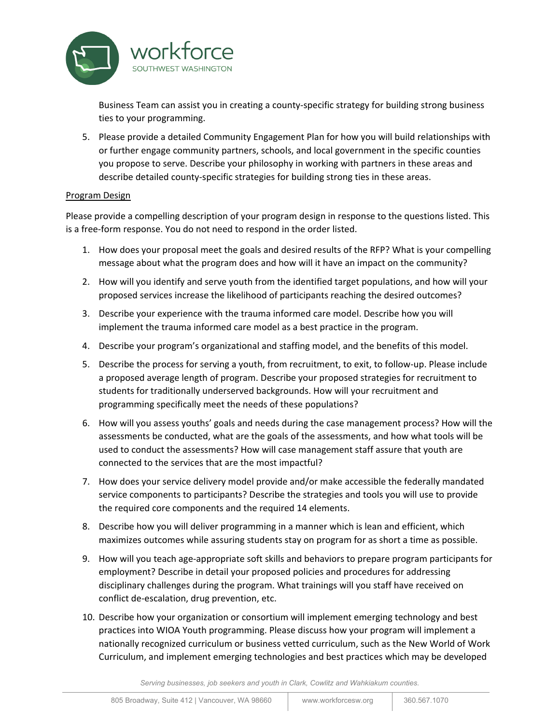

Business Team can assist you in creating a county-specific strategy for building strong business ties to your programming.

5. Please provide a detailed Community Engagement Plan for how you will build relationships with or further engage community partners, schools, and local government in the specific counties you propose to serve. Describe your philosophy in working with partners in these areas and describe detailed county-specific strategies for building strong ties in these areas.

# Program Design

Please provide a compelling description of your program design in response to the questions listed. This is a free-form response. You do not need to respond in the order listed.

- 1. How does your proposal meet the goals and desired results of the RFP? What is your compelling message about what the program does and how will it have an impact on the community?
- 2. How will you identify and serve youth from the identified target populations, and how will your proposed services increase the likelihood of participants reaching the desired outcomes?
- 3. Describe your experience with the trauma informed care model. Describe how you will implement the trauma informed care model as a best practice in the program.
- 4. Describe your program's organizational and staffing model, and the benefits of this model.
- 5. Describe the process for serving a youth, from recruitment, to exit, to follow-up. Please include a proposed average length of program. Describe your proposed strategies for recruitment to students for traditionally underserved backgrounds. How will your recruitment and programming specifically meet the needs of these populations?
- 6. How will you assess youths' goals and needs during the case management process? How will the assessments be conducted, what are the goals of the assessments, and how what tools will be used to conduct the assessments? How will case management staff assure that youth are connected to the services that are the most impactful?
- 7. How does your service delivery model provide and/or make accessible the federally mandated service components to participants? Describe the strategies and tools you will use to provide the required core components and the required 14 elements.
- 8. Describe how you will deliver programming in a manner which is lean and efficient, which maximizes outcomes while assuring students stay on program for as short a time as possible.
- 9. How will you teach age-appropriate soft skills and behaviors to prepare program participants for employment? Describe in detail your proposed policies and procedures for addressing disciplinary challenges during the program. What trainings will you staff have received on conflict de-escalation, drug prevention, etc.
- 10. Describe how your organization or consortium will implement emerging technology and best practices into WIOA Youth programming. Please discuss how your program will implement a nationally recognized curriculum or business vetted curriculum, such as the New World of Work Curriculum, and implement emerging technologies and best practices which may be developed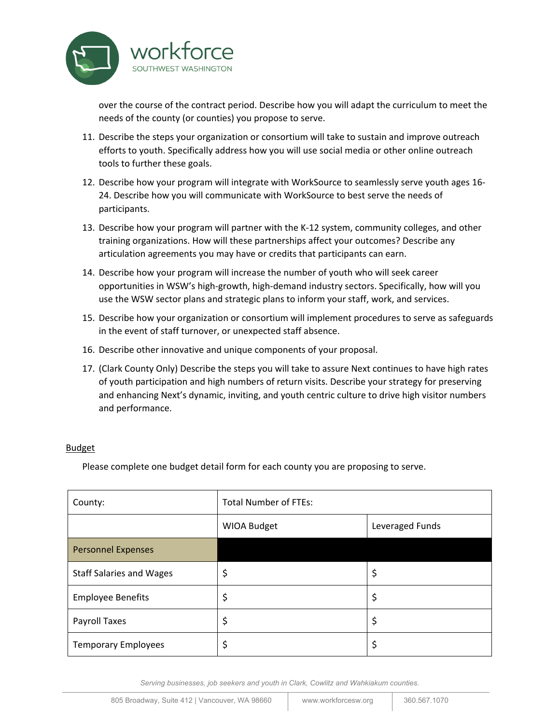

over the course of the contract period. Describe how you will adapt the curriculum to meet the needs of the county (or counties) you propose to serve.

- 11. Describe the steps your organization or consortium will take to sustain and improve outreach efforts to youth. Specifically address how you will use social media or other online outreach tools to further these goals.
- 12. Describe how your program will integrate with WorkSource to seamlessly serve youth ages 16- 24. Describe how you will communicate with WorkSource to best serve the needs of participants.
- 13. Describe how your program will partner with the K-12 system, community colleges, and other training organizations. How will these partnerships affect your outcomes? Describe any articulation agreements you may have or credits that participants can earn.
- 14. Describe how your program will increase the number of youth who will seek career opportunities in WSW's high-growth, high-demand industry sectors. Specifically, how will you use the WSW sector plans and strategic plans to inform your staff, work, and services.
- 15. Describe how your organization or consortium will implement procedures to serve as safeguards in the event of staff turnover, or unexpected staff absence.
- 16. Describe other innovative and unique components of your proposal.
- 17. (Clark County Only) Describe the steps you will take to assure Next continues to have high rates of youth participation and high numbers of return visits. Describe your strategy for preserving and enhancing Next's dynamic, inviting, and youth centric culture to drive high visitor numbers and performance.

# **Budget**

Please complete one budget detail form for each county you are proposing to serve.

| County:                         | <b>Total Number of FTEs:</b> |                 |
|---------------------------------|------------------------------|-----------------|
|                                 | WIOA Budget                  | Leveraged Funds |
| <b>Personnel Expenses</b>       |                              |                 |
| <b>Staff Salaries and Wages</b> | \$                           | \$              |
| <b>Employee Benefits</b>        | \$                           | \$              |
| Payroll Taxes                   | \$                           | \$              |
| <b>Temporary Employees</b>      | \$                           | \$              |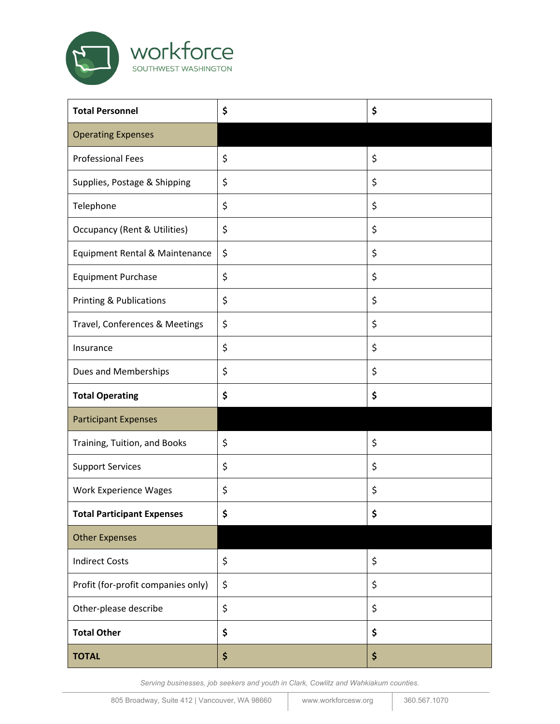

| <b>Total Personnel</b>                  | \$<br>\$ |
|-----------------------------------------|----------|
| <b>Operating Expenses</b>               |          |
| <b>Professional Fees</b>                | \$<br>\$ |
| Supplies, Postage & Shipping            | \$<br>\$ |
| Telephone                               | \$<br>\$ |
| <b>Occupancy (Rent &amp; Utilities)</b> | \$<br>\$ |
| Equipment Rental & Maintenance          | \$<br>\$ |
| <b>Equipment Purchase</b>               | \$<br>\$ |
| Printing & Publications                 | \$<br>\$ |
| Travel, Conferences & Meetings          | \$<br>\$ |
| Insurance                               | \$<br>\$ |
| Dues and Memberships                    | \$<br>\$ |
| <b>Total Operating</b>                  | \$<br>\$ |
| <b>Participant Expenses</b>             |          |
| Training, Tuition, and Books            | \$<br>\$ |
| <b>Support Services</b>                 | \$<br>\$ |
| <b>Work Experience Wages</b>            | \$<br>\$ |
| <b>Total Participant Expenses</b>       | \$<br>\$ |
| <b>Other Expenses</b>                   |          |
| <b>Indirect Costs</b>                   | \$<br>\$ |
| Profit (for-profit companies only)      | \$<br>\$ |
| Other-please describe                   | \$<br>\$ |
| <b>Total Other</b>                      | \$<br>\$ |
| <b>TOTAL</b>                            | \$<br>\$ |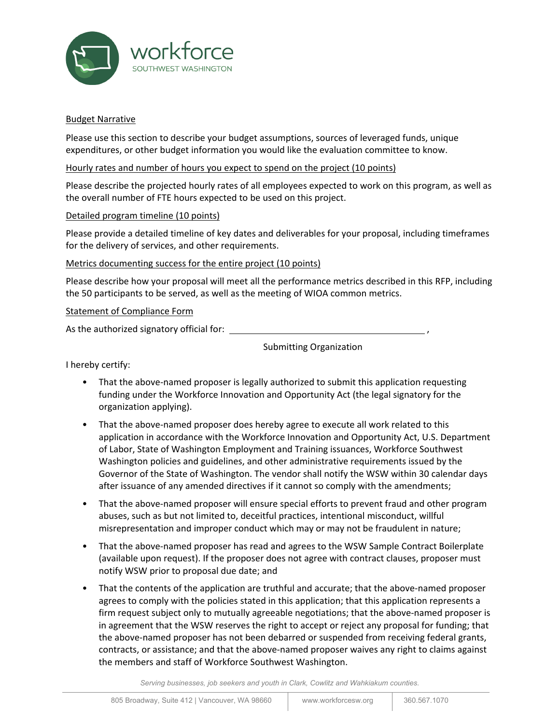

#### Budget Narrative

Please use this section to describe your budget assumptions, sources of leveraged funds, unique expenditures, or other budget information you would like the evaluation committee to know.

#### Hourly rates and number of hours you expect to spend on the project (10 points)

Please describe the projected hourly rates of all employees expected to work on this program, as well as the overall number of FTE hours expected to be used on this project.

#### Detailed program timeline (10 points)

Please provide a detailed timeline of key dates and deliverables for your proposal, including timeframes for the delivery of services, and other requirements.

#### Metrics documenting success for the entire project (10 points)

Please describe how your proposal will meet all the performance metrics described in this RFP, including the 50 participants to be served, as well as the meeting of WIOA common metrics.

#### Statement of Compliance Form

As the authorized signatory official for:

Submitting Organization

I hereby certify:

- That the above-named proposer is legally authorized to submit this application requesting funding under the Workforce Innovation and Opportunity Act (the legal signatory for the organization applying).
- That the above-named proposer does hereby agree to execute all work related to this application in accordance with the Workforce Innovation and Opportunity Act, U.S. Department of Labor, State of Washington Employment and Training issuances, Workforce Southwest Washington policies and guidelines, and other administrative requirements issued by the Governor of the State of Washington. The vendor shall notify the WSW within 30 calendar days after issuance of any amended directives if it cannot so comply with the amendments;
- That the above-named proposer will ensure special efforts to prevent fraud and other program abuses, such as but not limited to, deceitful practices, intentional misconduct, willful misrepresentation and improper conduct which may or may not be fraudulent in nature;
- That the above-named proposer has read and agrees to the WSW Sample Contract Boilerplate (available upon request). If the proposer does not agree with contract clauses, proposer must notify WSW prior to proposal due date; and
- That the contents of the application are truthful and accurate; that the above-named proposer agrees to comply with the policies stated in this application; that this application represents a firm request subject only to mutually agreeable negotiations; that the above-named proposer is in agreement that the WSW reserves the right to accept or reject any proposal for funding; that the above-named proposer has not been debarred or suspended from receiving federal grants, contracts, or assistance; and that the above-named proposer waives any right to claims against the members and staff of Workforce Southwest Washington.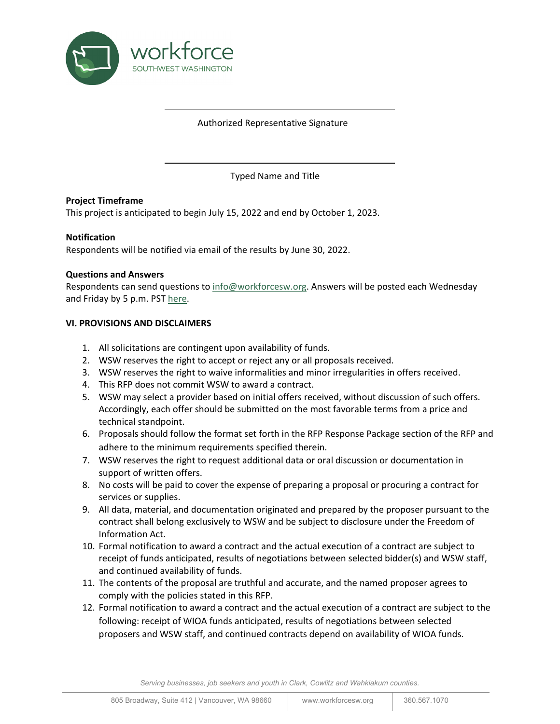

#### Authorized Representative Signature

Typed Name and Title

#### **Project Timeframe**

This project is anticipated to begin July 15, 2022 and end by October 1, 2023.

#### **Notification**

Respondents will be notified via email of the results by June 30, 2022.

#### **Questions and Answers**

Respondents can send questions to [info@workforcesw.org.](mailto:info@workforcesw.org) Answers will be posted each Wednesday and Friday by 5 p.m. PS[T here.](https://workforcesw.org/investments/investments-funding-opportunities.)

#### **VI. PROVISIONS AND DISCLAIMERS**

- 1. All solicitations are contingent upon availability of funds.
- 2. WSW reserves the right to accept or reject any or all proposals received.
- 3. WSW reserves the right to waive informalities and minor irregularities in offers received.
- 4. This RFP does not commit WSW to award a contract.
- 5. WSW may select a provider based on initial offers received, without discussion of such offers. Accordingly, each offer should be submitted on the most favorable terms from a price and technical standpoint.
- 6. Proposals should follow the format set forth in the RFP Response Package section of the RFP and adhere to the minimum requirements specified therein.
- 7. WSW reserves the right to request additional data or oral discussion or documentation in support of written offers.
- 8. No costs will be paid to cover the expense of preparing a proposal or procuring a contract for services or supplies.
- 9. All data, material, and documentation originated and prepared by the proposer pursuant to the contract shall belong exclusively to WSW and be subject to disclosure under the Freedom of Information Act.
- 10. Formal notification to award a contract and the actual execution of a contract are subject to receipt of funds anticipated, results of negotiations between selected bidder(s) and WSW staff, and continued availability of funds.
- 11. The contents of the proposal are truthful and accurate, and the named proposer agrees to comply with the policies stated in this RFP.
- 12. Formal notification to award a contract and the actual execution of a contract are subject to the following: receipt of WIOA funds anticipated, results of negotiations between selected proposers and WSW staff, and continued contracts depend on availability of WIOA funds.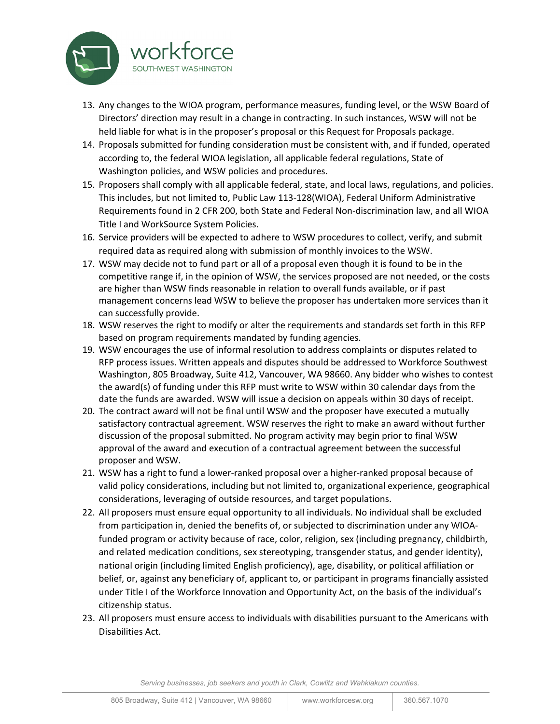

- 13. Any changes to the WIOA program, performance measures, funding level, or the WSW Board of Directors' direction may result in a change in contracting. In such instances, WSW will not be held liable for what is in the proposer's proposal or this Request for Proposals package.
- 14. Proposals submitted for funding consideration must be consistent with, and if funded, operated according to, the federal WIOA legislation, all applicable federal regulations, State of Washington policies, and WSW policies and procedures.
- 15. Proposers shall comply with all applicable federal, state, and local laws, regulations, and policies. This includes, but not limited to, Public Law 113-128(WIOA), Federal Uniform Administrative Requirements found in 2 CFR 200, both State and Federal Non-discrimination law, and all WIOA Title I and WorkSource System Policies.
- 16. Service providers will be expected to adhere to WSW procedures to collect, verify, and submit required data as required along with submission of monthly invoices to the WSW.
- 17. WSW may decide not to fund part or all of a proposal even though it is found to be in the competitive range if, in the opinion of WSW, the services proposed are not needed, or the costs are higher than WSW finds reasonable in relation to overall funds available, or if past management concerns lead WSW to believe the proposer has undertaken more services than it can successfully provide.
- 18. WSW reserves the right to modify or alter the requirements and standards set forth in this RFP based on program requirements mandated by funding agencies.
- 19. WSW encourages the use of informal resolution to address complaints or disputes related to RFP process issues. Written appeals and disputes should be addressed to Workforce Southwest Washington, 805 Broadway, Suite 412, Vancouver, WA 98660. Any bidder who wishes to contest the award(s) of funding under this RFP must write to WSW within 30 calendar days from the date the funds are awarded. WSW will issue a decision on appeals within 30 days of receipt.
- 20. The contract award will not be final until WSW and the proposer have executed a mutually satisfactory contractual agreement. WSW reserves the right to make an award without further discussion of the proposal submitted. No program activity may begin prior to final WSW approval of the award and execution of a contractual agreement between the successful proposer and WSW.
- 21. WSW has a right to fund a lower-ranked proposal over a higher-ranked proposal because of valid policy considerations, including but not limited to, organizational experience, geographical considerations, leveraging of outside resources, and target populations.
- 22. All proposers must ensure equal opportunity to all individuals. No individual shall be excluded from participation in, denied the benefits of, or subjected to discrimination under any WIOAfunded program or activity because of race, color, religion, sex (including pregnancy, childbirth, and related medication conditions, sex stereotyping, transgender status, and gender identity), national origin (including limited English proficiency), age, disability, or political affiliation or belief, or, against any beneficiary of, applicant to, or participant in programs financially assisted under Title I of the Workforce Innovation and Opportunity Act, on the basis of the individual's citizenship status.
- 23. All proposers must ensure access to individuals with disabilities pursuant to the Americans with Disabilities Act.